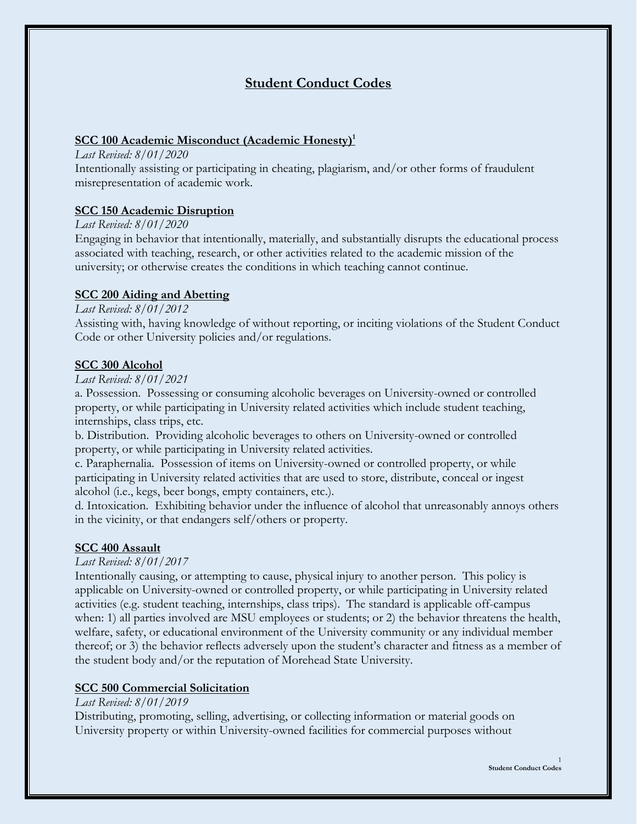# **Student Conduct Codes**

## **SCC 100 Academic Misconduct (Academic Honesty)<sup>1</sup>**

*Last Revised: 8/01/2020*

Intentionally assisting or participating in cheating, plagiarism, and/or other forms of fraudulent misrepresentation of academic work.

### **SCC 150 Academic Disruption**

#### *Last Revised: 8/01/2020*

Engaging in behavior that intentionally, materially, and substantially disrupts the educational process associated with teaching, research, or other activities related to the academic mission of the university; or otherwise creates the conditions in which teaching cannot continue.

### **SCC 200 Aiding and Abetting**

### *Last Revised: 8/01/2012*

Assisting with, having knowledge of without reporting, or inciting violations of the Student Conduct Code or other University policies and/or regulations.

### **SCC 300 Alcohol**

#### *Last Revised: 8/01/2021*

a. Possession. Possessing or consuming alcoholic beverages on University-owned or controlled property, or while participating in University related activities which include student teaching, internships, class trips, etc.

b. Distribution. Providing alcoholic beverages to others on University-owned or controlled property, or while participating in University related activities.

c. Paraphernalia. Possession of items on University-owned or controlled property, or while participating in University related activities that are used to store, distribute, conceal or ingest alcohol (i.e., kegs, beer bongs, empty containers, etc.).

d. Intoxication. Exhibiting behavior under the influence of alcohol that unreasonably annoys others in the vicinity, or that endangers self/others or property.

### **SCC 400 Assault**

#### *Last Revised: 8/01/2017*

Intentionally causing, or attempting to cause, physical injury to another person. This policy is applicable on University-owned or controlled property, or while participating in University related activities (e.g. student teaching, internships, class trips). The standard is applicable off-campus when: 1) all parties involved are MSU employees or students; or 2) the behavior threatens the health, welfare, safety, or educational environment of the University community or any individual member thereof; or 3) the behavior reflects adversely upon the student's character and fitness as a member of the student body and/or the reputation of Morehead State University.

### **SCC 500 Commercial Solicitation**

### *Last Revised: 8/01/2019*

Distributing, promoting, selling, advertising, or collecting information or material goods on University property or within University-owned facilities for commercial purposes without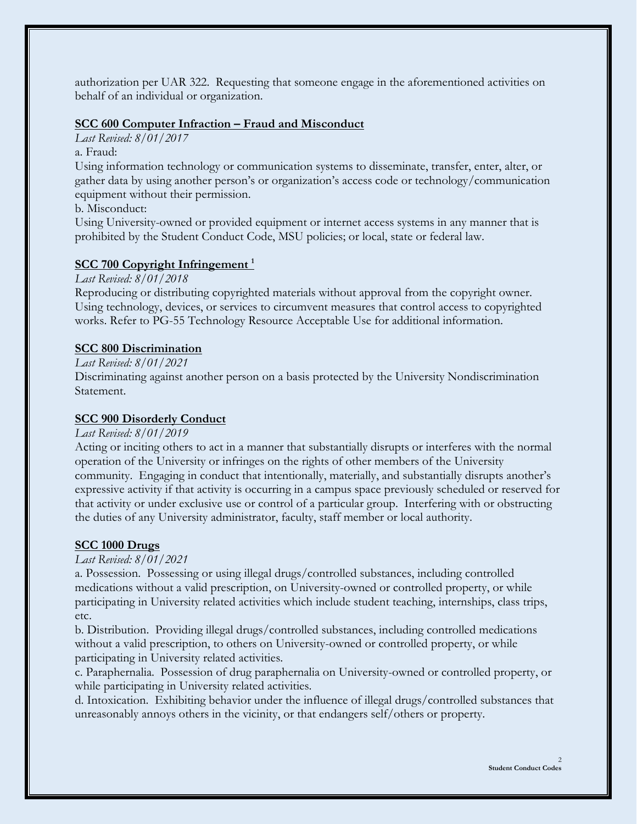authorization per UAR 322. Requesting that someone engage in the aforementioned activities on behalf of an individual or organization.

#### **SCC 600 Computer Infraction – Fraud and Misconduct**

*Last Revised: 8/01/2017*

a. Fraud:

Using information technology or communication systems to disseminate, transfer, enter, alter, or gather data by using another person's or organization's access code or technology/communication equipment without their permission.

b. Misconduct:

Using University-owned or provided equipment or internet access systems in any manner that is prohibited by the Student Conduct Code, MSU policies; or local, state or federal law.

### **SCC 700 Copyright Infringement <sup>1</sup>**

*Last Revised: 8/01/2018* 

Reproducing or distributing copyrighted materials without approval from the copyright owner. Using technology, devices, or services to circumvent measures that control access to copyrighted works. Refer to PG-55 Technology Resource Acceptable Use for additional information.

### **SCC 800 Discrimination**

### *Last Revised: 8/01/2021*

Discriminating against another person on a basis protected by the University Nondiscrimination Statement.

#### **SCC 900 Disorderly Conduct**

#### *Last Revised: 8/01/2019*

Acting or inciting others to act in a manner that substantially disrupts or interferes with the normal operation of the University or infringes on the rights of other members of the University community. Engaging in conduct that intentionally, materially, and substantially disrupts another's expressive activity if that activity is occurring in a campus space previously scheduled or reserved for that activity or under exclusive use or control of a particular group. Interfering with or obstructing the duties of any University administrator, faculty, staff member or local authority.

#### **SCC 1000 Drugs**

#### *Last Revised: 8/01/2021*

a. Possession. Possessing or using illegal drugs/controlled substances, including controlled medications without a valid prescription, on University-owned or controlled property, or while participating in University related activities which include student teaching, internships, class trips, etc.

b. Distribution. Providing illegal drugs/controlled substances, including controlled medications without a valid prescription, to others on University-owned or controlled property, or while participating in University related activities.

c. Paraphernalia. Possession of drug paraphernalia on University-owned or controlled property, or while participating in University related activities.

d. Intoxication. Exhibiting behavior under the influence of illegal drugs/controlled substances that unreasonably annoys others in the vicinity, or that endangers self/others or property.

 $\mathcal{L}$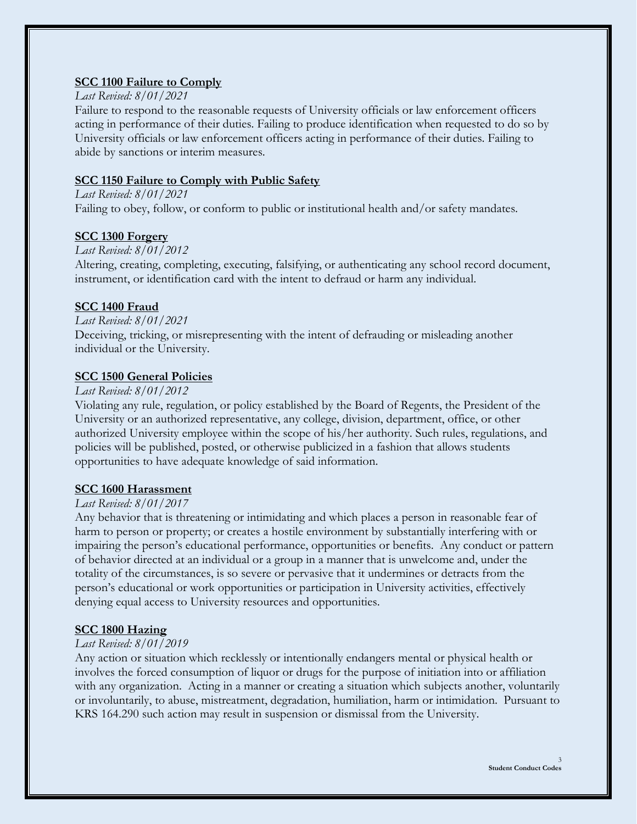## **SCC 1100 Failure to Comply**

### *Last Revised: 8/01/2021*

Failure to respond to the reasonable requests of University officials or law enforcement officers acting in performance of their duties. Failing to produce identification when requested to do so by University officials or law enforcement officers acting in performance of their duties. Failing to abide by sanctions or interim measures.

## **SCC 1150 Failure to Comply with Public Safety**

*Last Revised: 8/01/2021* Failing to obey, follow, or conform to public or institutional health and/or safety mandates.

## **SCC 1300 Forgery**

### *Last Revised: 8/01/2012*

Altering, creating, completing, executing, falsifying, or authenticating any school record document, instrument, or identification card with the intent to defraud or harm any individual.

### **SCC 1400 Fraud**

#### *Last Revised: 8/01/2021*

Deceiving, tricking, or misrepresenting with the intent of defrauding or misleading another individual or the University.

### **SCC 1500 General Policies**

### *Last Revised: 8/01/2012*

Violating any rule, regulation, or policy established by the Board of Regents, the President of the University or an authorized representative, any college, division, department, office, or other authorized University employee within the scope of his/her authority. Such rules, regulations, and policies will be published, posted, or otherwise publicized in a fashion that allows students opportunities to have adequate knowledge of said information.

## **SCC 1600 Harassment**

### *Last Revised: 8/01/2017*

Any behavior that is threatening or intimidating and which places a person in reasonable fear of harm to person or property; or creates a hostile environment by substantially interfering with or impairing the person's educational performance, opportunities or benefits. Any conduct or pattern of behavior directed at an individual or a group in a manner that is unwelcome and, under the totality of the circumstances, is so severe or pervasive that it undermines or detracts from the person's educational or work opportunities or participation in University activities, effectively denying equal access to University resources and opportunities.

## **SCC 1800 Hazing**

### *Last Revised: 8/01/2019*

Any action or situation which recklessly or intentionally endangers mental or physical health or involves the forced consumption of liquor or drugs for the purpose of initiation into or affiliation with any organization. Acting in a manner or creating a situation which subjects another, voluntarily or involuntarily, to abuse, mistreatment, degradation, humiliation, harm or intimidation. Pursuant to KRS 164.290 such action may result in suspension or dismissal from the University.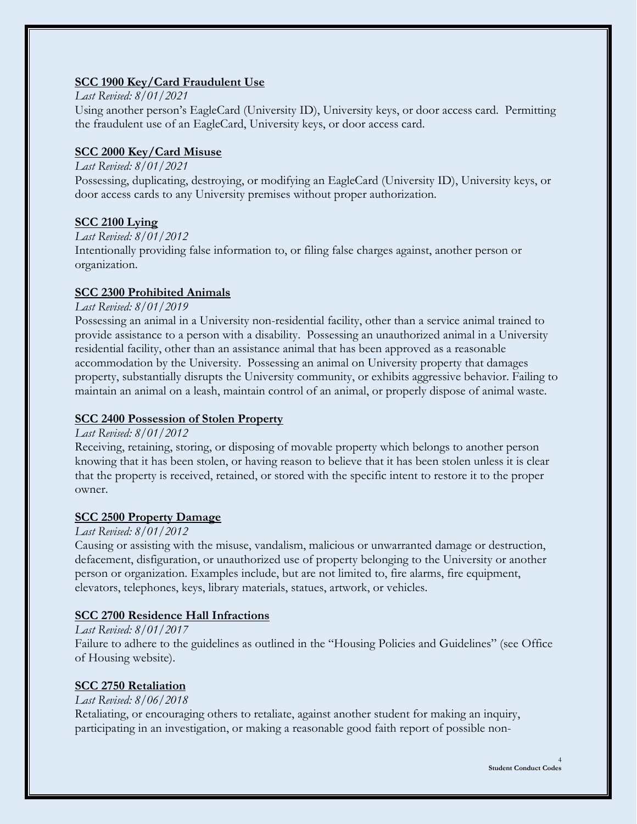## **SCC 1900 Key/Card Fraudulent Use**

#### *Last Revised: 8/01/2021*

Using another person's EagleCard (University ID), University keys, or door access card. Permitting the fraudulent use of an EagleCard, University keys, or door access card.

## **SCC 2000 Key/Card Misuse**

### *Last Revised: 8/01/2021*

Possessing, duplicating, destroying, or modifying an EagleCard (University ID), University keys, or door access cards to any University premises without proper authorization.

## **SCC 2100 Lying**

*Last Revised: 8/01/2012*

Intentionally providing false information to, or filing false charges against, another person or organization.

## **SCC 2300 Prohibited Animals**

### *Last Revised: 8/01/2019*

Possessing an animal in a University non-residential facility, other than a service animal trained to provide assistance to a person with a disability. Possessing an unauthorized animal in a University residential facility, other than an assistance animal that has been approved as a reasonable accommodation by the University. Possessing an animal on University property that damages property, substantially disrupts the University community, or exhibits aggressive behavior. Failing to maintain an animal on a leash, maintain control of an animal, or properly dispose of animal waste.

## **SCC 2400 Possession of Stolen Property**

## *Last Revised: 8/01/2012*

Receiving, retaining, storing, or disposing of movable property which belongs to another person knowing that it has been stolen, or having reason to believe that it has been stolen unless it is clear that the property is received, retained, or stored with the specific intent to restore it to the proper owner.

## **SCC 2500 Property Damage**

## *Last Revised: 8/01/2012*

Causing or assisting with the misuse, vandalism, malicious or unwarranted damage or destruction, defacement, disfiguration, or unauthorized use of property belonging to the University or another person or organization. Examples include, but are not limited to, fire alarms, fire equipment, elevators, telephones, keys, library materials, statues, artwork, or vehicles.

## **SCC 2700 Residence Hall Infractions**

### *Last Revised: 8/01/2017*

Failure to adhere to the guidelines as outlined in the "Housing Policies and Guidelines" (see Office of Housing website).

## **SCC 2750 Retaliation**

## *Last Revised: 8/06/2018*

Retaliating, or encouraging others to retaliate, against another student for making an inquiry, participating in an investigation, or making a reasonable good faith report of possible non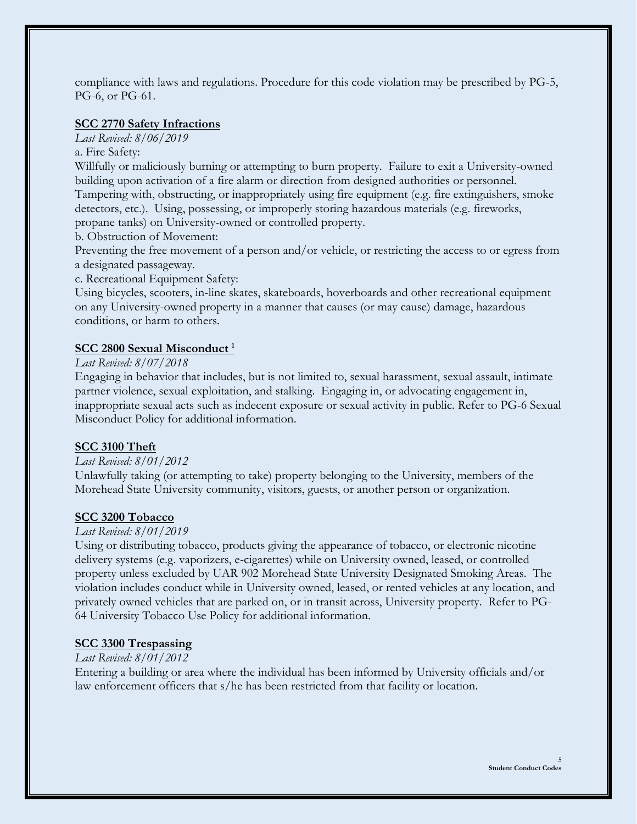compliance with laws and regulations. Procedure for this code violation may be prescribed by PG-5, PG-6, or PG-61.

#### **SCC 2770 Safety Infractions**

*Last Revised: 8/06/2019* 

a. Fire Safety:

Willfully or maliciously burning or attempting to burn property. Failure to exit a University-owned building upon activation of a fire alarm or direction from designed authorities or personnel. Tampering with, obstructing, or inappropriately using fire equipment (e.g. fire extinguishers, smoke detectors, etc.). Using, possessing, or improperly storing hazardous materials (e.g. fireworks,

propane tanks) on University-owned or controlled property.

b. Obstruction of Movement:

Preventing the free movement of a person and/or vehicle, or restricting the access to or egress from a designated passageway.

c. Recreational Equipment Safety:

Using bicycles, scooters, in-line skates, skateboards, hoverboards and other recreational equipment on any University-owned property in a manner that causes (or may cause) damage, hazardous conditions, or harm to others.

#### **SCC 2800 Sexual Misconduct <sup>1</sup>**

#### *Last Revised: 8/07/2018*

Engaging in behavior that includes, but is not limited to, sexual harassment, sexual assault, intimate partner violence, sexual exploitation, and stalking. Engaging in, or advocating engagement in, inappropriate sexual acts such as indecent exposure or sexual activity in public. Refer to PG-6 Sexual Misconduct Policy for additional information.

### **SCC 3100 Theft**

#### *Last Revised: 8/01/2012*

Unlawfully taking (or attempting to take) property belonging to the University, members of the Morehead State University community, visitors, guests, or another person or organization.

#### **SCC 3200 Tobacco**

#### *Last Revised: 8/01/2019*

Using or distributing tobacco, products giving the appearance of tobacco, or electronic nicotine delivery systems (e.g. vaporizers, e-cigarettes) while on University owned, leased, or controlled property unless excluded by UAR 902 Morehead State University Designated Smoking Areas. The violation includes conduct while in University owned, leased, or rented vehicles at any location, and privately owned vehicles that are parked on, or in transit across, University property. Refer to PG-64 University Tobacco Use Policy for additional information.

#### **SCC 3300 Trespassing**

#### *Last Revised: 8/01/2012*

Entering a building or area where the individual has been informed by University officials and/or law enforcement officers that s/he has been restricted from that facility or location.

5